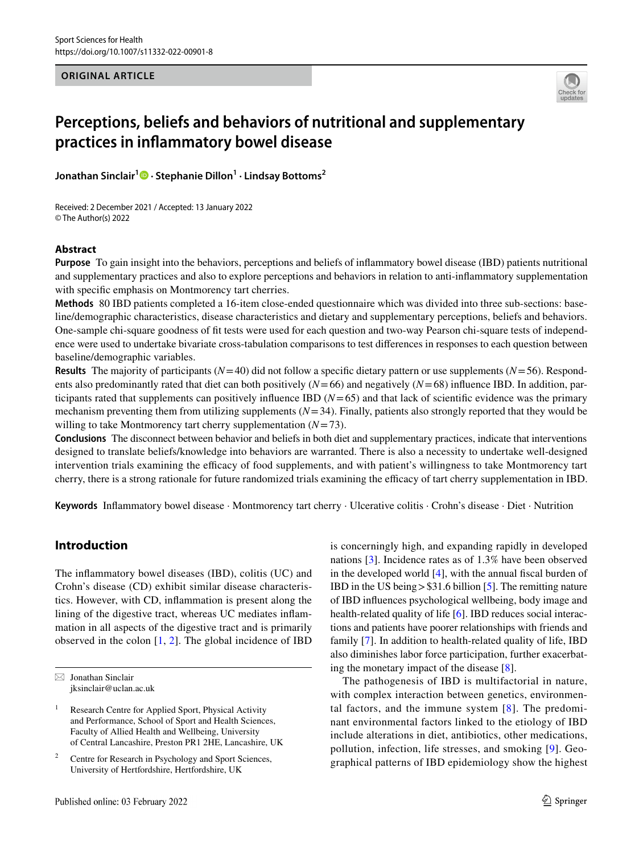**ORIGINAL ARTICLE**



# **Perceptions, beliefs and behaviors of nutritional and supplementary practices in infammatory bowel disease**

**Jonathan Sinclair1  [·](http://orcid.org/0000-0002-2231-3732) Stephanie Dillon1 · Lindsay Bottoms2**

Received: 2 December 2021 / Accepted: 13 January 2022 © The Author(s) 2022

## **Abstract**

**Purpose** To gain insight into the behaviors, perceptions and beliefs of infammatory bowel disease (IBD) patients nutritional and supplementary practices and also to explore perceptions and behaviors in relation to anti-infammatory supplementation with specific emphasis on Montmorency tart cherries.

**Methods** 80 IBD patients completed a 16-item close-ended questionnaire which was divided into three sub-sections: baseline/demographic characteristics, disease characteristics and dietary and supplementary perceptions, beliefs and behaviors. One-sample chi-square goodness of ft tests were used for each question and two-way Pearson chi-square tests of independence were used to undertake bivariate cross-tabulation comparisons to test diferences in responses to each question between baseline/demographic variables.

**Results** The majority of participants (*N*=40) did not follow a specifc dietary pattern or use supplements (*N*=56). Respondents also predominantly rated that diet can both positively  $(N=66)$  and negatively  $(N=68)$  influence IBD. In addition, participants rated that supplements can positively influence IBD  $(N=65)$  and that lack of scientific evidence was the primary mechanism preventing them from utilizing supplements  $(N=34)$ . Finally, patients also strongly reported that they would be willing to take Montmorency tart cherry supplementation (*N*=73).

**Conclusions** The disconnect between behavior and beliefs in both diet and supplementary practices, indicate that interventions designed to translate beliefs/knowledge into behaviors are warranted. There is also a necessity to undertake well-designed intervention trials examining the efficacy of food supplements, and with patient's willingness to take Montmorency tart cherry, there is a strong rationale for future randomized trials examining the efficacy of tart cherry supplementation in IBD.

**Keywords** Infammatory bowel disease · Montmorency tart cherry · Ulcerative colitis · Crohn's disease · Diet · Nutrition

# **Introduction**

The infammatory bowel diseases (IBD), colitis (UC) and Crohn's disease (CD) exhibit similar disease characteristics. However, with CD, infammation is present along the lining of the digestive tract, whereas UC mediates infammation in all aspects of the digestive tract and is primarily observed in the colon  $[1, 2]$  $[1, 2]$  $[1, 2]$ . The global incidence of IBD

is concerningly high, and expanding rapidly in developed nations [[3\]](#page-8-2). Incidence rates as of 1.3% have been observed in the developed world  $[4]$  $[4]$ , with the annual fiscal burden of IBD in the US being>\$31.6 billion [\[5\]](#page-8-4). The remitting nature of IBD infuences psychological wellbeing, body image and health-related quality of life [[6\]](#page-8-5). IBD reduces social interactions and patients have poorer relationships with friends and family [[7](#page-8-6)]. In addition to health-related quality of life, IBD also diminishes labor force participation, further exacerbating the monetary impact of the disease [[8\]](#page-8-7).

The pathogenesis of IBD is multifactorial in nature, with complex interaction between genetics, environmental factors, and the immune system  $[8]$  $[8]$  $[8]$ . The predominant environmental factors linked to the etiology of IBD include alterations in diet, antibiotics, other medications, pollution, infection, life stresses, and smoking [[9](#page-8-8)]. Geographical patterns of IBD epidemiology show the highest

 $\boxtimes$  Jonathan Sinclair jksinclair@uclan.ac.uk

<sup>&</sup>lt;sup>1</sup> Research Centre for Applied Sport, Physical Activity and Performance, School of Sport and Health Sciences, Faculty of Allied Health and Wellbeing, University of Central Lancashire, Preston PR1 2HE, Lancashire, UK

Centre for Research in Psychology and Sport Sciences, University of Hertfordshire, Hertfordshire, UK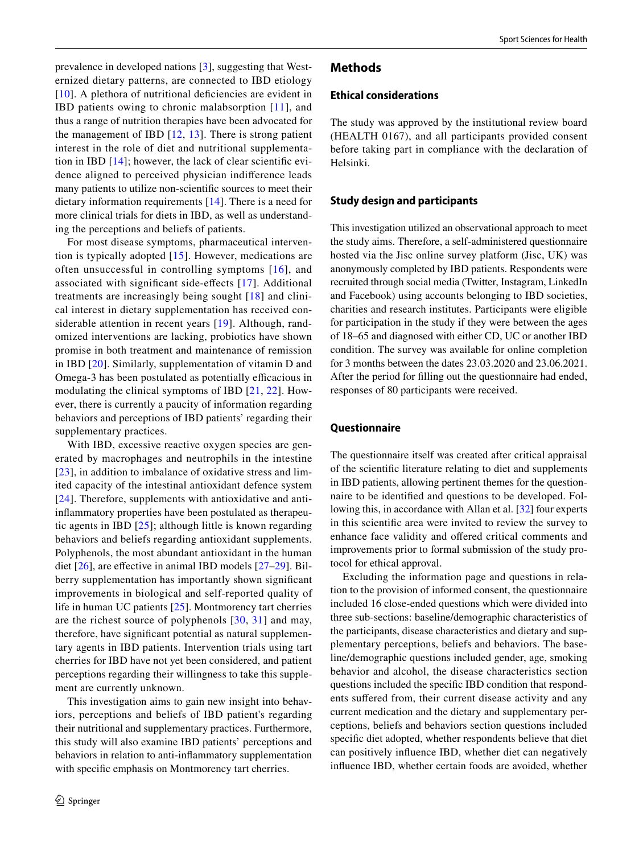prevalence in developed nations [[3\]](#page-8-2), suggesting that Westernized dietary patterns, are connected to IBD etiology [[10\]](#page-9-0). A plethora of nutritional deficiencies are evident in IBD patients owing to chronic malabsorption [[11](#page-9-1)], and thus a range of nutrition therapies have been advocated for the management of IBD [[12](#page-9-2), [13](#page-9-3)]. There is strong patient interest in the role of diet and nutritional supplementation in IBD [\[14\]](#page-9-4); however, the lack of clear scientifc evidence aligned to perceived physician indiference leads many patients to utilize non-scientifc sources to meet their dietary information requirements [[14](#page-9-4)]. There is a need for more clinical trials for diets in IBD, as well as understanding the perceptions and beliefs of patients.

For most disease symptoms, pharmaceutical intervention is typically adopted [\[15\]](#page-9-5). However, medications are often unsuccessful in controlling symptoms [[16\]](#page-9-6), and associated with signifcant side-efects [[17](#page-9-7)]. Additional treatments are increasingly being sought [[18\]](#page-9-8) and clinical interest in dietary supplementation has received considerable attention in recent years [[19](#page-9-9)]. Although, randomized interventions are lacking, probiotics have shown promise in both treatment and maintenance of remission in IBD [\[20\]](#page-9-10). Similarly, supplementation of vitamin D and Omega-3 has been postulated as potentially efficacious in modulating the clinical symptoms of IBD [[21,](#page-9-11) [22](#page-9-12)]. However, there is currently a paucity of information regarding behaviors and perceptions of IBD patients' regarding their supplementary practices.

With IBD, excessive reactive oxygen species are generated by macrophages and neutrophils in the intestine [[23\]](#page-9-13), in addition to imbalance of oxidative stress and limited capacity of the intestinal antioxidant defence system [[24\]](#page-9-14). Therefore, supplements with antioxidative and antiinfammatory properties have been postulated as therapeutic agents in IBD [\[25\]](#page-9-15); although little is known regarding behaviors and beliefs regarding antioxidant supplements. Polyphenols, the most abundant antioxidant in the human diet [\[26](#page-9-16)], are efective in animal IBD models [\[27](#page-9-17)–[29\]](#page-9-18). Bilberry supplementation has importantly shown signifcant improvements in biological and self-reported quality of life in human UC patients [\[25\]](#page-9-15). Montmorency tart cherries are the richest source of polyphenols [[30,](#page-9-19) [31](#page-9-20)] and may, therefore, have signifcant potential as natural supplementary agents in IBD patients. Intervention trials using tart cherries for IBD have not yet been considered, and patient perceptions regarding their willingness to take this supplement are currently unknown.

This investigation aims to gain new insight into behaviors, perceptions and beliefs of IBD patient's regarding their nutritional and supplementary practices. Furthermore, this study will also examine IBD patients' perceptions and behaviors in relation to anti-infammatory supplementation with specifc emphasis on Montmorency tart cherries.

## **Methods**

#### **Ethical considerations**

The study was approved by the institutional review board (HEALTH 0167), and all participants provided consent before taking part in compliance with the declaration of Helsinki.

## **Study design and participants**

This investigation utilized an observational approach to meet the study aims. Therefore, a self-administered questionnaire hosted via the Jisc online survey platform (Jisc, UK) was anonymously completed by IBD patients. Respondents were recruited through social media (Twitter, Instagram, LinkedIn and Facebook) using accounts belonging to IBD societies, charities and research institutes. Participants were eligible for participation in the study if they were between the ages of 18–65 and diagnosed with either CD, UC or another IBD condition. The survey was available for online completion for 3 months between the dates 23.03.2020 and 23.06.2021. After the period for flling out the questionnaire had ended, responses of 80 participants were received.

## **Questionnaire**

The questionnaire itself was created after critical appraisal of the scientifc literature relating to diet and supplements in IBD patients, allowing pertinent themes for the questionnaire to be identifed and questions to be developed. Following this, in accordance with Allan et al. [\[32](#page-9-21)] four experts in this scientifc area were invited to review the survey to enhance face validity and ofered critical comments and improvements prior to formal submission of the study protocol for ethical approval.

Excluding the information page and questions in relation to the provision of informed consent, the questionnaire included 16 close-ended questions which were divided into three sub-sections: baseline/demographic characteristics of the participants, disease characteristics and dietary and supplementary perceptions, beliefs and behaviors. The baseline/demographic questions included gender, age, smoking behavior and alcohol, the disease characteristics section questions included the specifc IBD condition that respondents suffered from, their current disease activity and any current medication and the dietary and supplementary perceptions, beliefs and behaviors section questions included specifc diet adopted, whether respondents believe that diet can positively infuence IBD, whether diet can negatively infuence IBD, whether certain foods are avoided, whether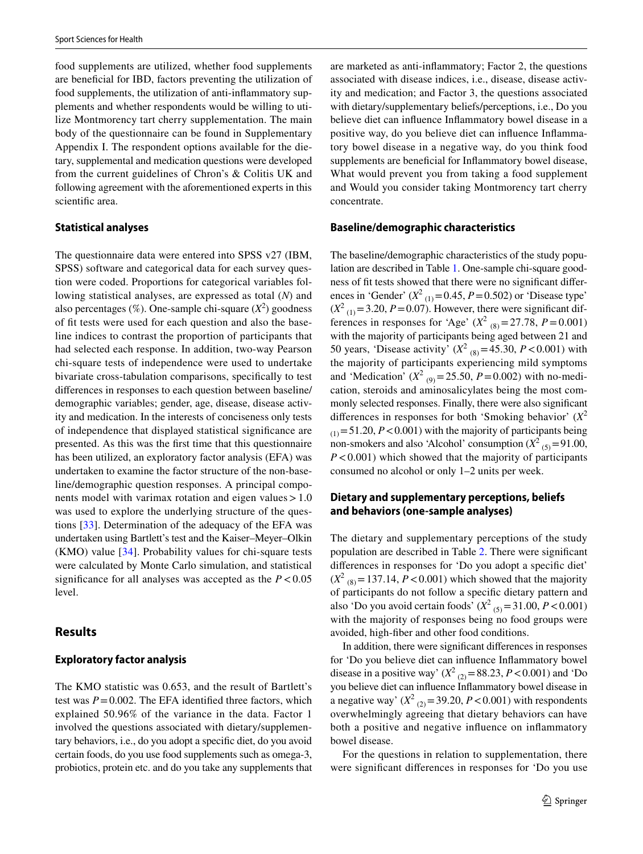food supplements are utilized, whether food supplements are benefcial for IBD, factors preventing the utilization of food supplements, the utilization of anti-infammatory supplements and whether respondents would be willing to utilize Montmorency tart cherry supplementation. The main body of the questionnaire can be found in Supplementary Appendix I. The respondent options available for the dietary, supplemental and medication questions were developed from the current guidelines of Chron's & Colitis UK and following agreement with the aforementioned experts in this scientifc area.

#### **Statistical analyses**

The questionnaire data were entered into SPSS v27 (IBM, SPSS) software and categorical data for each survey question were coded. Proportions for categorical variables following statistical analyses, are expressed as total (*N*) and also percentages  $(\%)$ . One-sample chi-square  $(X^2)$  goodness of ft tests were used for each question and also the baseline indices to contrast the proportion of participants that had selected each response. In addition, two-way Pearson chi-square tests of independence were used to undertake bivariate cross-tabulation comparisons, specifcally to test diferences in responses to each question between baseline/ demographic variables; gender, age, disease, disease activity and medication. In the interests of conciseness only tests of independence that displayed statistical signifcance are presented. As this was the frst time that this questionnaire has been utilized, an exploratory factor analysis (EFA) was undertaken to examine the factor structure of the non-baseline/demographic question responses. A principal components model with varimax rotation and eigen values $>1.0$ was used to explore the underlying structure of the questions [\[33](#page-9-22)]. Determination of the adequacy of the EFA was undertaken using Bartlett's test and the Kaiser–Meyer–Olkin (KMO) value [\[34](#page-9-23)]. Probability values for chi-square tests were calculated by Monte Carlo simulation, and statistical significance for all analyses was accepted as the  $P < 0.05$ level.

#### **Results**

#### **Exploratory factor analysis**

The KMO statistic was 0.653, and the result of Bartlett's test was  $P = 0.002$ . The EFA identified three factors, which explained 50.96% of the variance in the data. Factor 1 involved the questions associated with dietary/supplementary behaviors, i.e., do you adopt a specifc diet, do you avoid certain foods, do you use food supplements such as omega-3, probiotics, protein etc. and do you take any supplements that are marketed as anti-infammatory; Factor 2, the questions associated with disease indices, i.e., disease, disease activity and medication; and Factor 3, the questions associated with dietary/supplementary beliefs/perceptions, i.e., Do you believe diet can infuence Infammatory bowel disease in a positive way, do you believe diet can infuence Infammatory bowel disease in a negative way, do you think food supplements are beneficial for Inflammatory bowel disease, What would prevent you from taking a food supplement and Would you consider taking Montmorency tart cherry concentrate.

#### **Baseline/demographic characteristics**

The baseline/demographic characteristics of the study population are described in Table [1.](#page-3-0) One-sample chi-square goodness of ft tests showed that there were no signifcant diferences in 'Gender'  $(X^2_{(1)}=0.45, P=0.502)$  or 'Disease type'  $(X^2_{(1)} = 3.20, P = 0.07)$ . However, there were significant differences in responses for 'Age'  $(X^2_{(8)} = 27.78, P = 0.001)$ with the majority of participants being aged between 21 and 50 years, 'Disease activity'  $(X^2_{(8)} = 45.30, P < 0.001)$  with the majority of participants experiencing mild symptoms and 'Medication'  $(X^2_{(9)} = 25.50, P = 0.002)$  with no-medication, steroids and aminosalicylates being the most commonly selected responses. Finally, there were also signifcant diferences in responses for both 'Smoking behavior' (*X*<sup>2</sup>  $(t)$ =51.20, *P*<0.001) with the majority of participants being non-smokers and also 'Alcohol' consumption  $(X^2_{(5)} = 91.00$ , *P*<0.001) which showed that the majority of participants consumed no alcohol or only 1–2 units per week.

## **Dietary and supplementary perceptions, beliefs and behaviors (one‑sample analyses)**

The dietary and supplementary perceptions of the study population are described in Table [2.](#page-4-0) There were signifcant diferences in responses for 'Do you adopt a specifc diet'  $(X^2_{(8)} = 137.14, P < 0.001)$  which showed that the majority of participants do not follow a specifc dietary pattern and also 'Do you avoid certain foods'  $(X^2_{(5)} = 31.00, P < 0.001)$ with the majority of responses being no food groups were avoided, high-fber and other food conditions.

In addition, there were signifcant diferences in responses for 'Do you believe diet can infuence Infammatory bowel disease in a positive way'  $(X^2_{(2)} = 88.23, P < 0.001)$  and 'Do you believe diet can infuence Infammatory bowel disease in a negative way'  $(X^2_{(2)} = 39.20, P < 0.001)$  with respondents overwhelmingly agreeing that dietary behaviors can have both a positive and negative infuence on infammatory bowel disease.

For the questions in relation to supplementation, there were signifcant diferences in responses for 'Do you use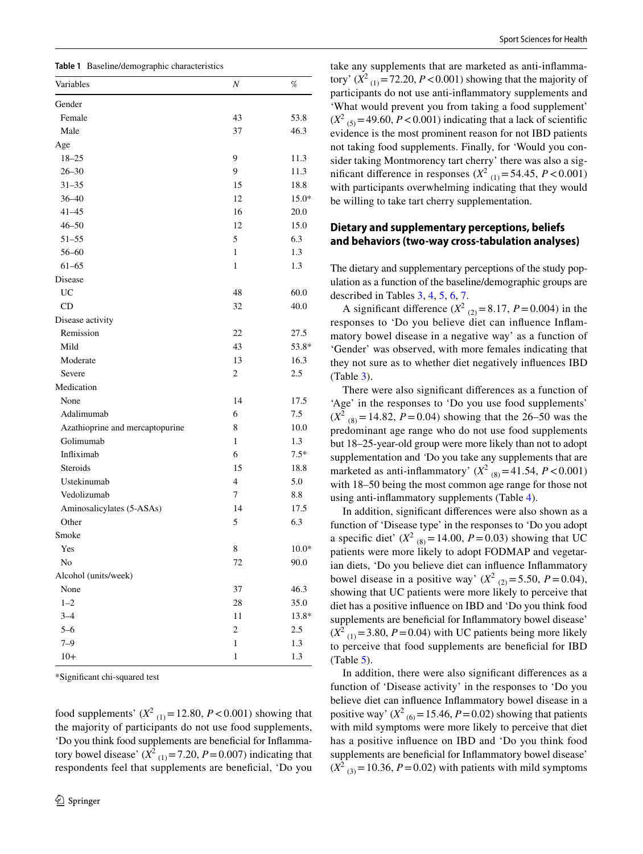<span id="page-3-0"></span>

| Variables                       | Ν              | %       |
|---------------------------------|----------------|---------|
| Gender                          |                |         |
| Female                          | 43             | 53.8    |
| Male                            | 37             | 46.3    |
| Age                             |                |         |
| $18 - 25$                       | 9              | 11.3    |
| $26 - 30$                       | 9              | 11.3    |
| $31 - 35$                       | 15             | 18.8    |
| $36 - 40$                       | 12             | $15.0*$ |
| $41 - 45$                       | 16             | 20.0    |
| $46 - 50$                       | 12             | 15.0    |
| $51 - 55$                       | 5              | 6.3     |
| $56 - 60$                       | $\mathbf{1}$   | 1.3     |
| $61 - 65$                       | 1              | 1.3     |
| Disease                         |                |         |
| <b>UC</b>                       | 48             | 60.0    |
| CD                              | 32             | 40.0    |
| Disease activity                |                |         |
| Remission                       | 22             | 27.5    |
| Mild                            | 43             | 53.8*   |
| Moderate                        | 13             | 16.3    |
| Severe                          | $\overline{c}$ | 2.5     |
| Medication                      |                |         |
| None                            | 14             | 17.5    |
| Adalimumab                      | 6              | 7.5     |
| Azathioprine and mercaptopurine | 8              | 10.0    |
| Golimumab                       | 1              | 1.3     |
| Infliximab                      | 6              | $7.5*$  |
| <b>Steroids</b>                 | 15             | 18.8    |
| Ustekinumab                     | $\overline{4}$ | 5.0     |
| Vedolizumab                     | 7              | 8.8     |
| Aminosalicylates (5-ASAs)       | 14             | 17.5    |
| Other                           | 5              | 6.3     |
| Smoke                           |                |         |
| Yes                             | 8              | $10.0*$ |
| No                              | 72             | 90.0    |
| Alcohol (units/week)            |                |         |
| None                            | 37             | 46.3    |
| $1 - 2$                         | 28             | 35.0    |
| $3 - 4$                         | 11             | 13.8*   |
| $5 - 6$                         | $\overline{c}$ | 2.5     |
| $7 - 9$                         | $\mathbf{1}$   | 1.3     |
| $10+$                           | $\mathbf{1}$   | 1.3     |

\*Signifcant chi-squared test

food supplements'  $(X^2_{(1)} = 12.80, P < 0.001)$  showing that the majority of participants do not use food supplements, 'Do you think food supplements are benefcial for Infammatory bowel disease'  $(X^2_{(1)} = 7.20, P = 0.007)$  indicating that respondents feel that supplements are benefcial, 'Do you

take any supplements that are marketed as anti-infammatory'  $(X^2_{(1)} = 72.20, P < 0.001)$  showing that the majority of participants do not use anti-infammatory supplements and 'What would prevent you from taking a food supplement'  $(X^2_{(5)} = 49.60, P < 0.001)$  indicating that a lack of scientific evidence is the most prominent reason for not IBD patients not taking food supplements. Finally, for 'Would you consider taking Montmorency tart cherry' there was also a significant difference in responses  $(X^2_{(1)} = 54.45, P < 0.001)$ with participants overwhelming indicating that they would be willing to take tart cherry supplementation.

## **Dietary and supplementary perceptions, beliefs and behaviors (two‑way cross‑tabulation analyses)**

The dietary and supplementary perceptions of the study population as a function of the baseline/demographic groups are described in Tables [3,](#page-5-0) [4,](#page-5-1) [5,](#page-6-0) [6,](#page-6-1) [7](#page-7-0).

A significant difference  $(X^2_{(2)} = 8.17, P = 0.004)$  in the responses to 'Do you believe diet can infuence Infammatory bowel disease in a negative way' as a function of 'Gender' was observed, with more females indicating that they not sure as to whether diet negatively infuences IBD (Table [3\)](#page-5-0).

There were also signifcant diferences as a function of 'Age' in the responses to 'Do you use food supplements'  $(X^2_{(8)} = 14.82, P = 0.04)$  showing that the 26–50 was the predominant age range who do not use food supplements but 18–25-year-old group were more likely than not to adopt supplementation and *'*Do you take any supplements that are marketed as anti-inflammatory'  $(X^2_{(8)} = 41.54, P < 0.001)$ with 18–50 being the most common age range for those not using anti-infammatory supplements (Table [4\)](#page-5-1).

In addition, signifcant diferences were also shown as a function of 'Disease type' in the responses to 'Do you adopt a specific diet'  $(X^2_{(8)} = 14.00, P = 0.03)$  showing that UC patients were more likely to adopt FODMAP and vegetarian diets, 'Do you believe diet can infuence Infammatory bowel disease in a positive way'  $(X^2_{(2)} = 5.50, P = 0.04)$ , showing that UC patients were more likely to perceive that diet has a positive infuence on IBD and 'Do you think food supplements are beneficial for Inflammatory bowel disease'  $(X<sup>2</sup><sub>(1)</sub> = 3.80, P = 0.04)$  with UC patients being more likely to perceive that food supplements are benefcial for IBD  $(Table 5)$  $(Table 5)$ .

In addition, there were also signifcant diferences as a function of 'Disease activity' in the responses to 'Do you believe diet can infuence Infammatory bowel disease in a positive way'  $(X^2_{(6)} = 15.46, P = 0.02)$  showing that patients with mild symptoms were more likely to perceive that diet has a positive infuence on IBD and 'Do you think food supplements are beneficial for Inflammatory bowel disease'  $(X^2_{(3)} = 10.36, P = 0.02)$  with patients with mild symptoms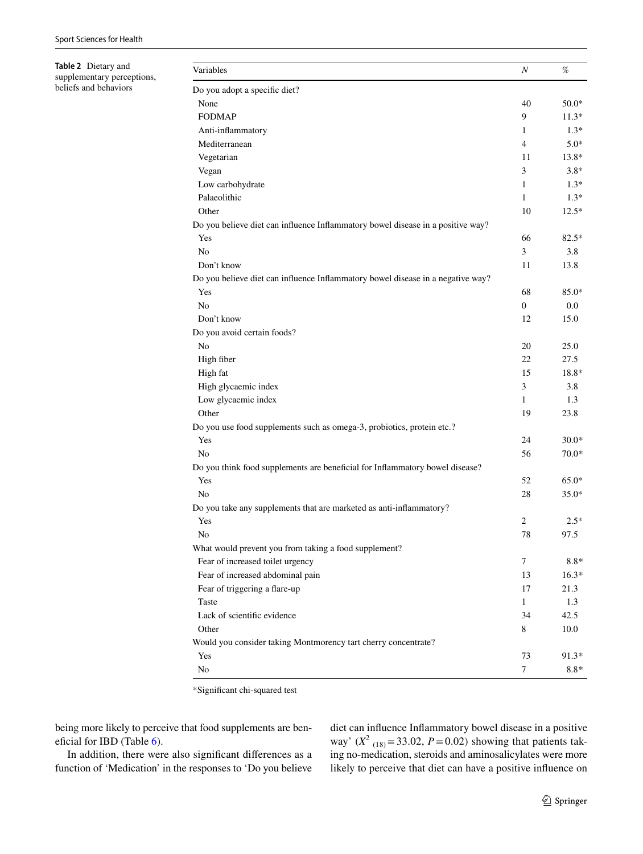<span id="page-4-0"></span>**Table 2** Dietary and supplementary perceptions, beliefs and behaviors

| Variables                                                                       | $\boldsymbol{N}$ | %       |
|---------------------------------------------------------------------------------|------------------|---------|
| Do you adopt a specific diet?                                                   |                  |         |
| None                                                                            | 40               | $50.0*$ |
| <b>FODMAP</b>                                                                   | 9                | $11.3*$ |
| Anti-inflammatory                                                               | $\mathbf{1}$     | $1.3*$  |
| Mediterranean                                                                   | $\overline{4}$   | $5.0*$  |
| Vegetarian                                                                      | 11               | 13.8*   |
| Vegan                                                                           | 3                | $3.8*$  |
| Low carbohydrate                                                                | $\mathbf{1}$     | $1.3*$  |
| Palaeolithic                                                                    | $\mathbf{1}$     | $1.3*$  |
| Other                                                                           | 10               | $12.5*$ |
| Do you believe diet can influence Inflammatory bowel disease in a positive way? |                  |         |
| Yes                                                                             | 66               | $82.5*$ |
| N <sub>o</sub>                                                                  | 3                | 3.8     |
| Don't know                                                                      | 11               | 13.8    |
| Do you believe diet can influence Inflammatory bowel disease in a negative way? |                  |         |
| Yes                                                                             | 68               | 85.0*   |
| N <sub>o</sub>                                                                  | $\overline{0}$   | $0.0\,$ |
| Don't know                                                                      | 12               | 15.0    |
| Do you avoid certain foods?                                                     |                  |         |
| No                                                                              | 20               | 25.0    |
| High fiber                                                                      | 22               | 27.5    |
| High fat                                                                        | 15               | 18.8*   |
| High glycaemic index                                                            | 3                | 3.8     |
| Low glycaemic index                                                             | $\mathbf{1}$     | 1.3     |
| Other                                                                           | 19               | 23.8    |
| Do you use food supplements such as omega-3, probiotics, protein etc.?          |                  |         |
| Yes                                                                             | 24               | $30.0*$ |
| N <sub>o</sub>                                                                  | 56               | $70.0*$ |
| Do you think food supplements are beneficial for Inflammatory bowel disease?    |                  |         |
| Yes                                                                             | 52               | $65.0*$ |
| No                                                                              | 28               | $35.0*$ |
| Do you take any supplements that are marketed as anti-inflammatory?             |                  |         |
| Yes                                                                             | $\overline{c}$   | $2.5*$  |
| No                                                                              | 78               | 97.5    |
| What would prevent you from taking a food supplement?                           |                  |         |
| Fear of increased toilet urgency                                                | 7                | $8.8*$  |
| Fear of increased abdominal pain                                                | 13               | $16.3*$ |
| Fear of triggering a flare-up                                                   | 17               | 21.3    |
| Taste                                                                           | $\mathbf{1}$     | 1.3     |
| Lack of scientific evidence                                                     | 34               | 42.5    |
| Other                                                                           | 8                | 10.0    |
| Would you consider taking Montmorency tart cherry concentrate?                  |                  |         |
| Yes                                                                             | 73               | $91.3*$ |
| No                                                                              | $\tau$           | $8.8*$  |

\*Signifcant chi-squared test

being more likely to perceive that food supplements are ben-eficial for IBD (Table [6](#page-6-1)).

In addition, there were also signifcant diferences as a function of 'Medication' in the responses to 'Do you believe diet can infuence Infammatory bowel disease in a positive way'  $(X^2_{(18)} = 33.02, P = 0.02)$  showing that patients taking no-medication, steroids and aminosalicylates were more likely to perceive that diet can have a positive infuence on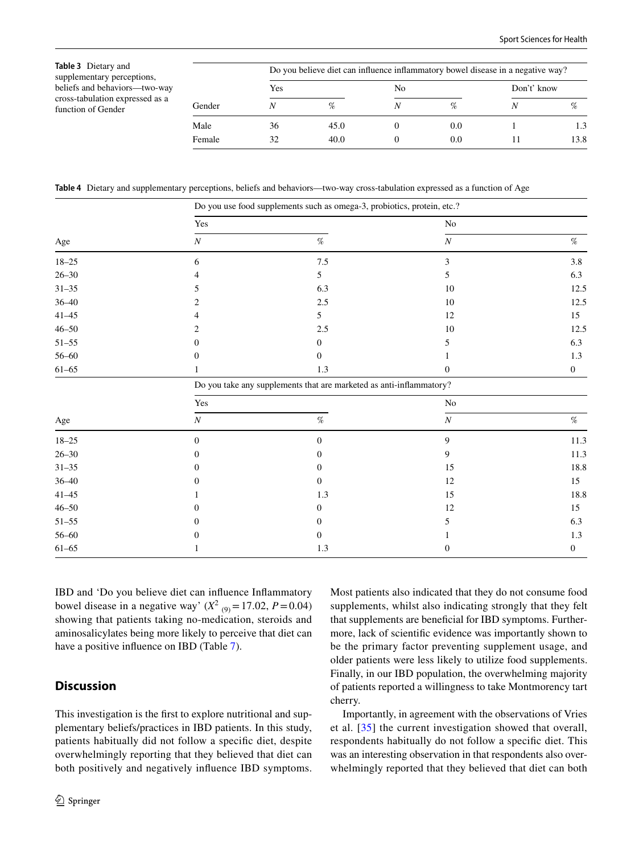<span id="page-5-0"></span>**Table 3** Dietary and supplementary perceptions, beliefs and behaviors—two-way cross-tabulation expressed as a function of Gender

|        | Do you believe diet can influence inflammatory bowel disease in a negative way? |      |    |     |             |      |  |  |  |  |
|--------|---------------------------------------------------------------------------------|------|----|-----|-------------|------|--|--|--|--|
| Gender | Yes                                                                             |      | No |     | Don't' know |      |  |  |  |  |
|        |                                                                                 | $\%$ |    | %   |             | %    |  |  |  |  |
| Male   | 36                                                                              | 45.0 |    | 0.0 |             | 1.3  |  |  |  |  |
| Female | 32                                                                              | 40.0 |    | 0.0 |             | 13.8 |  |  |  |  |

<span id="page-5-1"></span>**Table 4** Dietary and supplementary perceptions, beliefs and behaviors—two-way cross-tabulation expressed as a function of Age

|           |                                                                     | Do you use food supplements such as omega-3, probiotics, protein, etc.? |                  |                  |  |  |  |  |  |
|-----------|---------------------------------------------------------------------|-------------------------------------------------------------------------|------------------|------------------|--|--|--|--|--|
|           | $\operatorname{Yes}$                                                |                                                                         | No               |                  |  |  |  |  |  |
| Age       | $\cal N$                                                            | $\%$                                                                    | $\boldsymbol{N}$ | $\%$             |  |  |  |  |  |
| $18 - 25$ | 6                                                                   | $7.5\,$                                                                 | 3                | 3.8              |  |  |  |  |  |
| $26 - 30$ | 4                                                                   | 5                                                                       | 5                | 6.3              |  |  |  |  |  |
| $31 - 35$ | 5                                                                   | 6.3                                                                     | 10               | 12.5             |  |  |  |  |  |
| $36 - 40$ | 2                                                                   | $2.5\,$                                                                 | 10               | 12.5             |  |  |  |  |  |
| $41 - 45$ | 4                                                                   | 5                                                                       | 12               | 15               |  |  |  |  |  |
| $46 - 50$ | 2                                                                   | $2.5\,$                                                                 | $10\,$           | 12.5             |  |  |  |  |  |
| $51 - 55$ | 0                                                                   | $\boldsymbol{0}$                                                        | 5                | 6.3              |  |  |  |  |  |
| $56 - 60$ | 0                                                                   | $\mathbf{0}$                                                            |                  | 1.3              |  |  |  |  |  |
| $61 - 65$ | 1                                                                   | $1.3\,$                                                                 | $\mathbf{0}$     | $\mathbf{0}$     |  |  |  |  |  |
|           | Do you take any supplements that are marketed as anti-inflammatory? |                                                                         |                  |                  |  |  |  |  |  |
|           | Yes                                                                 |                                                                         | $\rm No$         |                  |  |  |  |  |  |
| Age       | $\cal N$                                                            | $\%$                                                                    | $\cal N$         | $\%$             |  |  |  |  |  |
| $18 - 25$ | $\boldsymbol{0}$                                                    | $\boldsymbol{0}$                                                        | 9                | 11.3             |  |  |  |  |  |
| $26 - 30$ | 0                                                                   | $\boldsymbol{0}$                                                        | $\overline{9}$   | 11.3             |  |  |  |  |  |
| $31 - 35$ | 0                                                                   | $\boldsymbol{0}$                                                        | 15               | 18.8             |  |  |  |  |  |
| $36 - 40$ |                                                                     | $\mathbf{0}$                                                            | 12               | 15               |  |  |  |  |  |
| $41 - 45$ |                                                                     | $1.3\,$                                                                 | 15               | 18.8             |  |  |  |  |  |
| $46 - 50$ |                                                                     | $\boldsymbol{0}$                                                        | 12               | 15               |  |  |  |  |  |
| $51 - 55$ | $^{(1)}$                                                            | $\boldsymbol{0}$                                                        | 5                | 6.3              |  |  |  |  |  |
| $56 - 60$ | 0                                                                   | $\boldsymbol{0}$                                                        |                  | $1.3\,$          |  |  |  |  |  |
| $61 - 65$ |                                                                     | 1.3                                                                     | $\boldsymbol{0}$ | $\boldsymbol{0}$ |  |  |  |  |  |

IBD and 'Do you believe diet can infuence Infammatory bowel disease in a negative way'  $(X^2_{(9)} = 17.02, P = 0.04)$ showing that patients taking no-medication, steroids and aminosalicylates being more likely to perceive that diet can have a positive infuence on IBD (Table [7](#page-7-0)).

## **Discussion**

This investigation is the frst to explore nutritional and supplementary beliefs/practices in IBD patients. In this study, patients habitually did not follow a specifc diet, despite overwhelmingly reporting that they believed that diet can both positively and negatively infuence IBD symptoms.

Most patients also indicated that they do not consume food supplements, whilst also indicating strongly that they felt that supplements are benefcial for IBD symptoms. Furthermore, lack of scientifc evidence was importantly shown to be the primary factor preventing supplement usage, and older patients were less likely to utilize food supplements. Finally, in our IBD population, the overwhelming majority of patients reported a willingness to take Montmorency tart cherry.

Importantly, in agreement with the observations of Vries et al. [\[35\]](#page-9-24) the current investigation showed that overall, respondents habitually do not follow a specifc diet. This was an interesting observation in that respondents also overwhelmingly reported that they believed that diet can both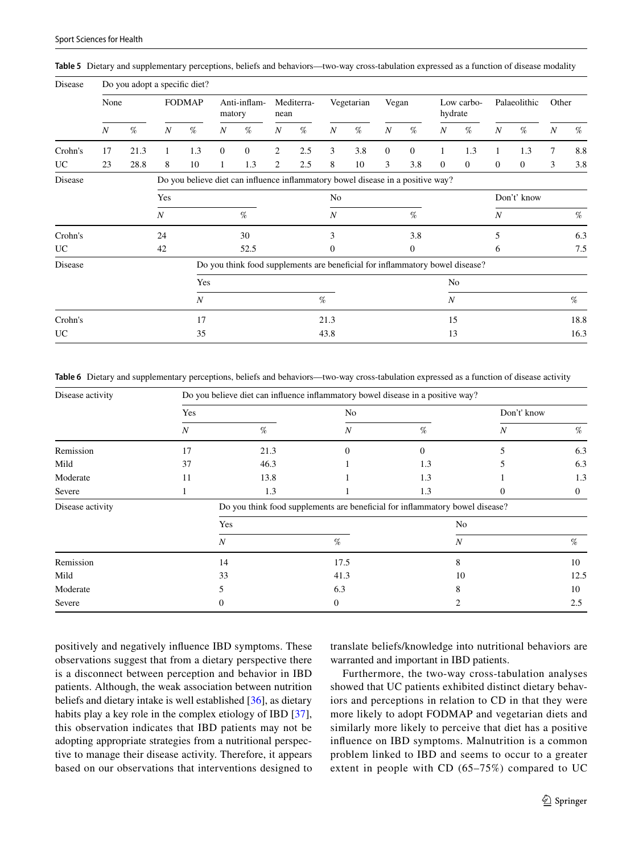| Disease   |                  | Do you adopt a specific diet? |                  |                  |                  |                                                                                 |                  |            |                  |            |                  |                  |                  |                |                  |                |                  |      |  |
|-----------|------------------|-------------------------------|------------------|------------------|------------------|---------------------------------------------------------------------------------|------------------|------------|------------------|------------|------------------|------------------|------------------|----------------|------------------|----------------|------------------|------|--|
|           | None             |                               |                  | <b>FODMAP</b>    | matory           | Anti-inflam-                                                                    | nean             | Mediterra- |                  | Vegetarian | Vegan            |                  | hydrate          | Low carbo-     | Palaeolithic     |                | Other            |      |  |
|           | $\boldsymbol{N}$ | %                             | $\boldsymbol{N}$ | %                | $\boldsymbol{N}$ | %                                                                               | $\boldsymbol{N}$ | %          | $\boldsymbol{N}$ | $\%$       | $\boldsymbol{N}$ | %                | $\boldsymbol{N}$ | %              | $\boldsymbol{N}$ | $\%$           | $\boldsymbol{N}$ | %    |  |
| Crohn's   | 17               | 21.3                          | 1                | 1.3              | $\mathbf{0}$     | $\overline{0}$                                                                  | 2                | 2.5        | 3                | 3.8        | $\mathbf{0}$     | $\mathbf{0}$     | $\mathbf{1}$     | 1.3            | 1                | 1.3            | $\tau$           | 8.8  |  |
| <b>UC</b> | 23               | 28.8                          | 8                | 10               | 1                | 1.3                                                                             | 2                | 2.5        | 8                | 10         | 3                | 3.8              | $\mathbf{0}$     | $\overline{0}$ | $\mathbf{0}$     | $\overline{0}$ | 3                | 3.8  |  |
| Disease   |                  |                               |                  |                  |                  | Do you believe diet can influence inflammatory bowel disease in a positive way? |                  |            |                  |            |                  |                  |                  |                |                  |                |                  |      |  |
|           |                  |                               | Yes              |                  |                  |                                                                                 |                  |            | No               |            |                  |                  |                  |                |                  | Don't' know    |                  |      |  |
|           |                  |                               | $\boldsymbol{N}$ |                  |                  | $\%$                                                                            |                  |            | $\boldsymbol{N}$ |            |                  | $\%$             |                  |                | $\boldsymbol{N}$ |                |                  | %    |  |
| Crohn's   |                  |                               | 24               |                  |                  | 30                                                                              |                  |            | 3                |            |                  | 3.8              |                  |                | 5                |                |                  | 6.3  |  |
| <b>UC</b> |                  |                               | 42               |                  |                  | 52.5                                                                            |                  |            | $\mathbf{0}$     |            |                  | $\boldsymbol{0}$ |                  |                | 6                |                |                  | 7.5  |  |
| Disease   |                  |                               |                  |                  |                  | Do you think food supplements are beneficial for inflammatory bowel disease?    |                  |            |                  |            |                  |                  |                  |                |                  |                |                  |      |  |
|           |                  |                               |                  | Yes              |                  |                                                                                 |                  |            |                  |            |                  |                  | No               |                |                  |                |                  |      |  |
|           |                  |                               |                  | $\boldsymbol{N}$ |                  |                                                                                 |                  |            | %                |            |                  |                  | $\boldsymbol{N}$ |                |                  |                |                  | $\%$ |  |
| Crohn's   |                  |                               |                  | 17               |                  |                                                                                 |                  |            | 21.3             |            |                  |                  | 15               |                |                  |                |                  | 18.8 |  |
| UC        |                  |                               |                  | 35               |                  |                                                                                 |                  |            | 43.8             |            |                  |                  | 13               |                |                  |                |                  | 16.3 |  |

<span id="page-6-0"></span>**Table 5** Dietary and supplementary perceptions, beliefs and behaviors—two-way cross-tabulation expressed as a function of disease modality

<span id="page-6-1"></span>**Table 6** Dietary and supplementary perceptions, beliefs and behaviors—two-way cross-tabulation expressed as a function of disease activity

| Disease activity | Do you believe diet can influence inflammatory bowel disease in a positive way? |                                                                              |                  |          |   |              |  |  |  |  |
|------------------|---------------------------------------------------------------------------------|------------------------------------------------------------------------------|------------------|----------|---|--------------|--|--|--|--|
|                  | Yes                                                                             |                                                                              | No               |          |   | Don't' know  |  |  |  |  |
|                  | N                                                                               | %                                                                            | $\boldsymbol{N}$ | %        | N | %            |  |  |  |  |
| Remission        | 17                                                                              | 21.3                                                                         | 0                | $\Omega$ |   | 6.3          |  |  |  |  |
| Mild             | 37                                                                              | 46.3                                                                         |                  | 1.3      |   | 6.3          |  |  |  |  |
| Moderate         | 11                                                                              | 13.8                                                                         |                  | 1.3      |   | 1.3          |  |  |  |  |
| Severe           |                                                                                 | 1.3                                                                          |                  | 1.3      |   | $\mathbf{0}$ |  |  |  |  |
| Disease activity |                                                                                 | Do you think food supplements are beneficial for inflammatory bowel disease? |                  |          |   |              |  |  |  |  |
|                  |                                                                                 | Yes                                                                          | No               |          |   |              |  |  |  |  |
|                  |                                                                                 | N                                                                            | %                | N        |   | %            |  |  |  |  |
| Remission        |                                                                                 | 14                                                                           | 17.5             | 8        |   | 10           |  |  |  |  |
| Mild             |                                                                                 | 33                                                                           | 41.3             | 10       |   | 12.5         |  |  |  |  |
| Moderate         |                                                                                 |                                                                              | 6.3              |          |   | 10           |  |  |  |  |
| Severe           |                                                                                 |                                                                              | $\Omega$         |          |   | 2.5          |  |  |  |  |

positively and negatively infuence IBD symptoms. These observations suggest that from a dietary perspective there is a disconnect between perception and behavior in IBD patients. Although, the weak association between nutrition beliefs and dietary intake is well established [\[36](#page-9-25)], as dietary habits play a key role in the complex etiology of IBD [\[37](#page-9-26)], this observation indicates that IBD patients may not be adopting appropriate strategies from a nutritional perspective to manage their disease activity. Therefore, it appears based on our observations that interventions designed to translate beliefs/knowledge into nutritional behaviors are warranted and important in IBD patients.

Furthermore, the two-way cross-tabulation analyses showed that UC patients exhibited distinct dietary behaviors and perceptions in relation to CD in that they were more likely to adopt FODMAP and vegetarian diets and similarly more likely to perceive that diet has a positive infuence on IBD symptoms. Malnutrition is a common problem linked to IBD and seems to occur to a greater extent in people with CD (65–75%) compared to UC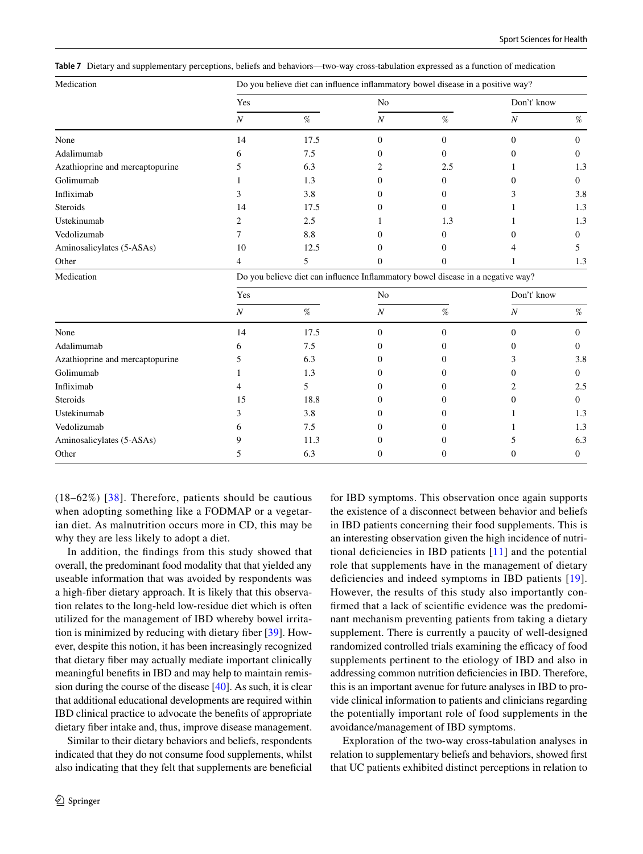<span id="page-7-0"></span>**Table 7** Dietary and supplementary perceptions, beliefs and behaviors—two-way cross-tabulation expressed as a function of medication

| Medication                      | Do you believe diet can influence inflammatory bowel disease in a positive way? |      |                |     |             |                |  |  |  |  |  |
|---------------------------------|---------------------------------------------------------------------------------|------|----------------|-----|-------------|----------------|--|--|--|--|--|
|                                 | Yes                                                                             |      | N <sub>o</sub> |     | Don't' know |                |  |  |  |  |  |
|                                 | Ν                                                                               | $\%$ | N              | %   | N           | %              |  |  |  |  |  |
| None                            | 14                                                                              | 17.5 |                |     |             |                |  |  |  |  |  |
| Adalimumab                      |                                                                                 | 7.5  |                |     |             | 0              |  |  |  |  |  |
| Azathioprine and mercaptopurine |                                                                                 | 6.3  |                | 2.5 |             | 1.3            |  |  |  |  |  |
| Golimumab                       |                                                                                 | 1.3  |                |     |             | $\overline{0}$ |  |  |  |  |  |
| Infliximab                      |                                                                                 | 3.8  |                |     |             | 3.8            |  |  |  |  |  |
| Steroids                        | 14                                                                              | 17.5 |                |     |             | 1.3            |  |  |  |  |  |
| Ustekinumab                     |                                                                                 | 2.5  |                | 1.3 |             | 1.3            |  |  |  |  |  |
| Vedolizumab                     |                                                                                 | 8.8  |                | 0   |             | 0              |  |  |  |  |  |
| Aminosalicylates (5-ASAs)       | 10                                                                              | 12.5 |                |     |             |                |  |  |  |  |  |
| Other                           |                                                                                 |      |                |     |             | 1.3            |  |  |  |  |  |
|                                 |                                                                                 |      |                |     |             |                |  |  |  |  |  |

Medication **Do you believe diet can influence Inflammatory bowel disease in a negative way?** 

|                                 | Yes |      | No |   | Don't' know |          |  |  |
|---------------------------------|-----|------|----|---|-------------|----------|--|--|
|                                 | Ν   | %    | N  | % | N           | %        |  |  |
| None                            | 14  | 17.5 |    |   |             |          |  |  |
| Adalimumab                      |     | 7.5  |    |   |             | 0        |  |  |
| Azathioprine and mercaptopurine |     | 6.3  |    |   |             | 3.8      |  |  |
| Golimumab                       |     | 1.3  |    |   |             | 0        |  |  |
| Infliximab                      |     |      |    |   |             | 2.5      |  |  |
| Steroids                        | 15  | 18.8 |    |   |             | $\Omega$ |  |  |
| Ustekinumab                     |     | 3.8  |    |   |             | 1.3      |  |  |
| Vedolizumab                     |     | 7.5  |    |   |             | 1.3      |  |  |
| Aminosalicylates (5-ASAs)       |     | 11.3 |    |   |             | 6.3      |  |  |
| Other                           |     | 6.3  |    |   |             | $\Omega$ |  |  |
|                                 |     |      |    |   |             |          |  |  |

 $(18–62%)$  [[38\]](#page-9-27). Therefore, patients should be cautious when adopting something like a FODMAP or a vegetarian diet. As malnutrition occurs more in CD, this may be why they are less likely to adopt a diet.

In addition, the fndings from this study showed that overall, the predominant food modality that that yielded any useable information that was avoided by respondents was a high-fber dietary approach. It is likely that this observation relates to the long-held low-residue diet which is often utilized for the management of IBD whereby bowel irritation is minimized by reducing with dietary fber [\[39](#page-9-28)]. However, despite this notion, it has been increasingly recognized that dietary fber may actually mediate important clinically meaningful benefts in IBD and may help to maintain remission during the course of the disease [[40](#page-9-29)]. As such, it is clear that additional educational developments are required within IBD clinical practice to advocate the benefts of appropriate dietary fber intake and, thus, improve disease management.

Similar to their dietary behaviors and beliefs, respondents indicated that they do not consume food supplements, whilst also indicating that they felt that supplements are benefcial

for IBD symptoms. This observation once again supports the existence of a disconnect between behavior and beliefs in IBD patients concerning their food supplements. This is an interesting observation given the high incidence of nutritional defciencies in IBD patients [[11](#page-9-1)] and the potential role that supplements have in the management of dietary defciencies and indeed symptoms in IBD patients [[19](#page-9-9)]. However, the results of this study also importantly confrmed that a lack of scientifc evidence was the predominant mechanism preventing patients from taking a dietary supplement. There is currently a paucity of well-designed randomized controlled trials examining the efficacy of food supplements pertinent to the etiology of IBD and also in addressing common nutrition defciencies in IBD. Therefore, this is an important avenue for future analyses in IBD to provide clinical information to patients and clinicians regarding the potentially important role of food supplements in the avoidance/management of IBD symptoms.

Exploration of the two-way cross-tabulation analyses in relation to supplementary beliefs and behaviors, showed frst that UC patients exhibited distinct perceptions in relation to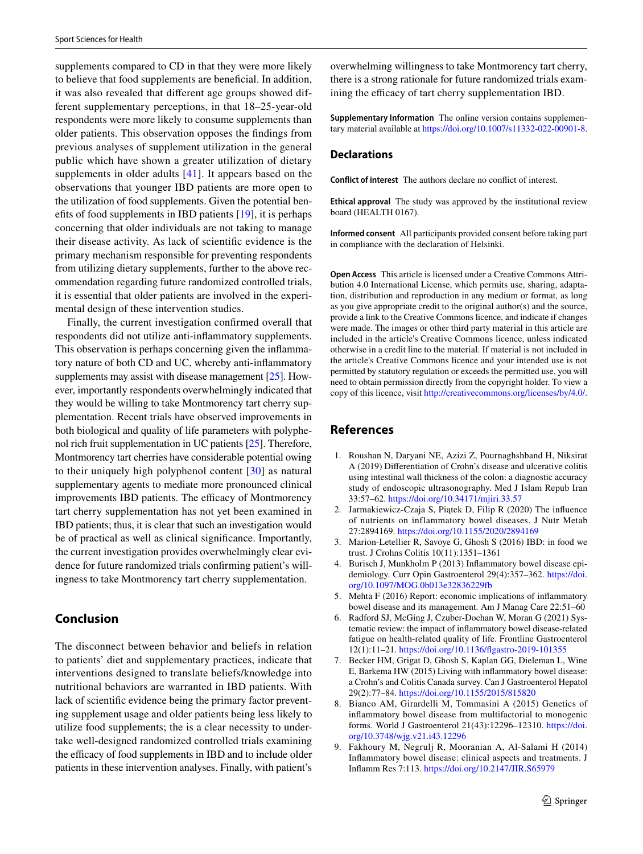supplements compared to CD in that they were more likely to believe that food supplements are benefcial. In addition, it was also revealed that diferent age groups showed different supplementary perceptions, in that 18–25-year-old respondents were more likely to consume supplements than older patients. This observation opposes the fndings from previous analyses of supplement utilization in the general public which have shown a greater utilization of dietary supplements in older adults [[41](#page-9-30)]. It appears based on the observations that younger IBD patients are more open to the utilization of food supplements. Given the potential benefts of food supplements in IBD patients [\[19](#page-9-9)], it is perhaps concerning that older individuals are not taking to manage their disease activity. As lack of scientifc evidence is the primary mechanism responsible for preventing respondents from utilizing dietary supplements, further to the above recommendation regarding future randomized controlled trials, it is essential that older patients are involved in the experimental design of these intervention studies.

Finally, the current investigation confrmed overall that respondents did not utilize anti-infammatory supplements. This observation is perhaps concerning given the infammatory nature of both CD and UC, whereby anti-infammatory supplements may assist with disease management [[25](#page-9-15)]. However, importantly respondents overwhelmingly indicated that they would be willing to take Montmorency tart cherry supplementation. Recent trials have observed improvements in both biological and quality of life parameters with polyphenol rich fruit supplementation in UC patients [[25\]](#page-9-15). Therefore, Montmorency tart cherries have considerable potential owing to their uniquely high polyphenol content  $[30]$  $[30]$  as natural supplementary agents to mediate more pronounced clinical improvements IBD patients. The efficacy of Montmorency tart cherry supplementation has not yet been examined in IBD patients; thus, it is clear that such an investigation would be of practical as well as clinical signifcance. Importantly, the current investigation provides overwhelmingly clear evidence for future randomized trials confrming patient's willingness to take Montmorency tart cherry supplementation.

# **Conclusion**

The disconnect between behavior and beliefs in relation to patients' diet and supplementary practices, indicate that interventions designed to translate beliefs/knowledge into nutritional behaviors are warranted in IBD patients. With lack of scientifc evidence being the primary factor preventing supplement usage and older patients being less likely to utilize food supplements; the is a clear necessity to undertake well-designed randomized controlled trials examining the efficacy of food supplements in IBD and to include older patients in these intervention analyses. Finally, with patient's

overwhelming willingness to take Montmorency tart cherry, there is a strong rationale for future randomized trials examining the efficacy of tart cherry supplementation IBD.

**Supplementary Information** The online version contains supplementary material available at<https://doi.org/10.1007/s11332-022-00901-8>.

## **Declarations**

**Conflict of interest** The authors declare no confict of interest.

**Ethical approval** The study was approved by the institutional review board (HEALTH 0167).

**Informed consent** All participants provided consent before taking part in compliance with the declaration of Helsinki.

**Open Access** This article is licensed under a Creative Commons Attribution 4.0 International License, which permits use, sharing, adaptation, distribution and reproduction in any medium or format, as long as you give appropriate credit to the original author(s) and the source, provide a link to the Creative Commons licence, and indicate if changes were made. The images or other third party material in this article are included in the article's Creative Commons licence, unless indicated otherwise in a credit line to the material. If material is not included in the article's Creative Commons licence and your intended use is not permitted by statutory regulation or exceeds the permitted use, you will need to obtain permission directly from the copyright holder. To view a copy of this licence, visit<http://creativecommons.org/licenses/by/4.0/>.

## **References**

- <span id="page-8-0"></span>1. Roushan N, Daryani NE, Azizi Z, Pournaghshband H, Niksirat A (2019) Diferentiation of Crohn's disease and ulcerative colitis using intestinal wall thickness of the colon: a diagnostic accuracy study of endoscopic ultrasonography. Med J Islam Repub Iran 33:57–62. <https://doi.org/10.34171/mjiri.33.57>
- <span id="page-8-1"></span>2. Jarmakiewicz-Czaja S, Piątek D, Filip R (2020) The infuence of nutrients on inflammatory bowel diseases. J Nutr Metab 27:2894169.<https://doi.org/10.1155/2020/2894169>
- <span id="page-8-2"></span>3. Marion-Letellier R, Savoye G, Ghosh S (2016) IBD: in food we trust. J Crohns Colitis 10(11):1351–1361
- <span id="page-8-3"></span>4. Burisch J, Munkholm P (2013) Infammatory bowel disease epidemiology. Curr Opin Gastroenterol 29(4):357–362. [https://doi.](https://doi.org/10.1097/MOG.0b013e32836229fb) [org/10.1097/MOG.0b013e32836229fb](https://doi.org/10.1097/MOG.0b013e32836229fb)
- <span id="page-8-4"></span>5. Mehta F (2016) Report: economic implications of infammatory bowel disease and its management. Am J Manag Care 22:51–60
- <span id="page-8-5"></span>6. Radford SJ, McGing J, Czuber-Dochan W, Moran G (2021) Systematic review: the impact of infammatory bowel disease-related fatigue on health-related quality of life. Frontline Gastroenterol 12(1):11–21. [https://doi.org/10.1136/fgastro-2019-101355](https://doi.org/10.1136/flgastro-2019-101355)
- <span id="page-8-6"></span>7. Becker HM, Grigat D, Ghosh S, Kaplan GG, Dieleman L, Wine E, Barkema HW (2015) Living with infammatory bowel disease: a Crohn's and Colitis Canada survey. Can J Gastroenterol Hepatol 29(2):77–84. <https://doi.org/10.1155/2015/815820>
- <span id="page-8-7"></span>8. Bianco AM, Girardelli M, Tommasini A (2015) Genetics of infammatory bowel disease from multifactorial to monogenic forms. World J Gastroenterol 21(43):12296–12310. [https://doi.](https://doi.org/10.3748/wjg.v21.i43.12296) [org/10.3748/wjg.v21.i43.12296](https://doi.org/10.3748/wjg.v21.i43.12296)
- <span id="page-8-8"></span>9. Fakhoury M, Negrulj R, Mooranian A, Al-Salami H (2014) Infammatory bowel disease: clinical aspects and treatments. J Infamm Res 7:113. <https://doi.org/10.2147/JIR.S65979>